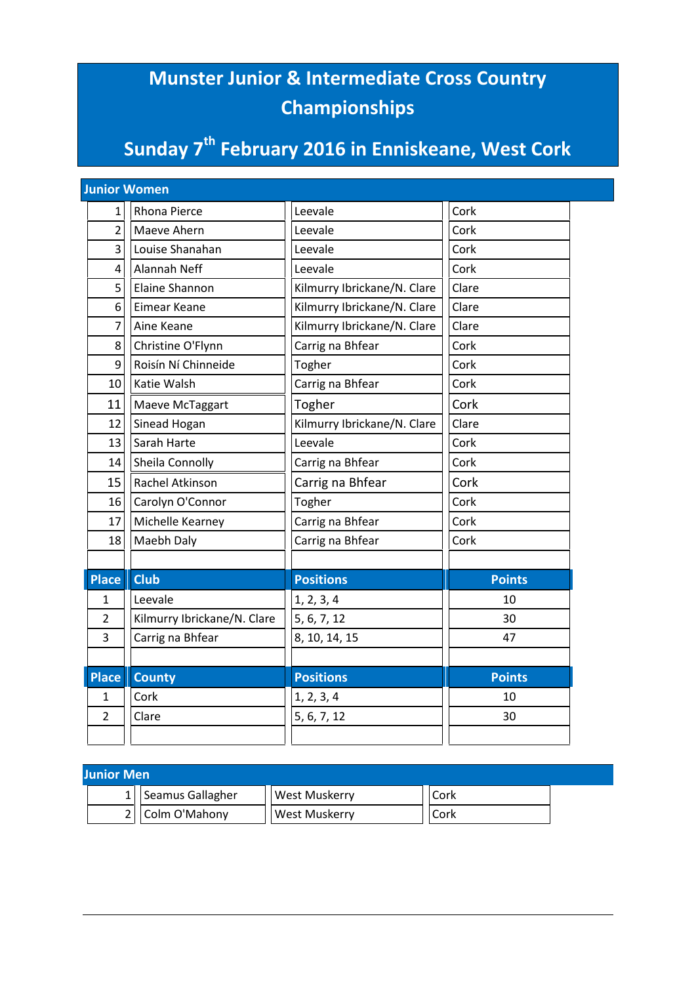## **Munster Junior & Intermediate Cross Country Championships**

## **Sunday 7th February 2016 in Enniskeane, West Cork**

| <b>Junior Women</b> |                             |                             |               |  |
|---------------------|-----------------------------|-----------------------------|---------------|--|
| 1                   | Rhona Pierce                | Leevale                     | Cork          |  |
| $\overline{2}$      | Maeve Ahern                 | Leevale                     | Cork          |  |
| 3                   | Louise Shanahan             | Leevale                     | Cork          |  |
| 4                   | <b>Alannah Neff</b>         | Leevale                     | Cork          |  |
| 5                   | Elaine Shannon              | Kilmurry Ibrickane/N. Clare | Clare         |  |
| 6                   | <b>Eimear Keane</b>         | Kilmurry Ibrickane/N. Clare | Clare         |  |
| 7                   | Aine Keane                  | Kilmurry Ibrickane/N. Clare | Clare         |  |
| 8                   | Christine O'Flynn           | Carrig na Bhfear            | Cork          |  |
| 9                   | Roisín Ní Chinneide         | Togher                      | Cork          |  |
| 10                  | Katie Walsh                 | Carrig na Bhfear            | Cork          |  |
| 11                  | Maeve McTaggart             | Togher                      | Cork          |  |
| 12                  | Sinead Hogan                | Kilmurry Ibrickane/N. Clare | Clare         |  |
| 13                  | Sarah Harte                 | Leevale                     | Cork          |  |
| 14                  | Sheila Connolly             | Carrig na Bhfear            | Cork          |  |
| 15                  | Rachel Atkinson             | Carrig na Bhfear            | Cork          |  |
| 16                  | Carolyn O'Connor            | Togher                      | Cork          |  |
| 17                  | Michelle Kearney            | Carrig na Bhfear            | Cork          |  |
| 18                  | Maebh Daly                  | Carrig na Bhfear            | Cork          |  |
|                     |                             |                             |               |  |
| <b>Place</b>        | <b>Club</b>                 | <b>Positions</b>            | <b>Points</b> |  |
| 1                   | Leevale                     | 1, 2, 3, 4                  | 10            |  |
| $\overline{2}$      | Kilmurry Ibrickane/N. Clare | 5, 6, 7, 12                 | 30            |  |
| 3                   | Carrig na Bhfear            | 8, 10, 14, 15               | 47            |  |
|                     |                             |                             |               |  |
| <b>Place</b>        | <b>County</b>               | <b>Positions</b>            | <b>Points</b> |  |
| 1                   | Cork                        | 1, 2, 3, 4                  | 10            |  |
| $\overline{2}$      | Clare                       | 5, 6, 7, 12                 | 30            |  |
|                     |                             |                             |               |  |

| <b>Junior Men</b> |  |                  |               |      |  |
|-------------------|--|------------------|---------------|------|--|
|                   |  | Seamus Gallagher | West Muskerry | Cork |  |
|                   |  | Colm O'Mahony    | West Muskerry | Cork |  |